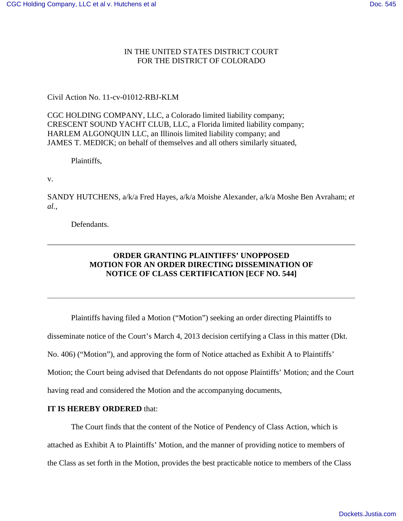## IN THE UNITED STATES DISTRICT COURT FOR THE DISTRICT OF COLORADO

## Civil Action No. 11-cv-01012-RBJ-KLM

CGC HOLDING COMPANY, LLC, a Colorado limited liability company; CRESCENT SOUND YACHT CLUB, LLC, a Florida limited liability company; HARLEM ALGONQUIN LLC, an Illinois limited liability company; and JAMES T. MEDICK; on behalf of themselves and all others similarly situated,

Plaintiffs,

v.

SANDY HUTCHENS, a/k/a Fred Hayes, a/k/a Moishe Alexander, a/k/a Moshe Ben Avraham; *et al.,*

Defendants.

## **ORDER GRANTING PLAINTIFFS' UNOPPOSED MOTION FOR AN ORDER DIRECTING DISSEMINATION OF NOTICE OF CLASS CERTIFICATION [ECF NO. 544]**

Plaintiffs having filed a Motion ("Motion") seeking an order directing Plaintiffs to disseminate notice of the Court's March 4, 2013 decision certifying a Class in this matter (Dkt. No. 406) ("Motion"), and approving the form of Notice attached as Exhibit A to Plaintiffs' Motion; the Court being advised that Defendants do not oppose Plaintiffs' Motion; and the Court having read and considered the Motion and the accompanying documents,

## **IT IS HEREBY ORDERED** that:

The Court finds that the content of the Notice of Pendency of Class Action, which is

attached as Exhibit A to Plaintiffs' Motion, and the manner of providing notice to members of

the Class as set forth in the Motion, provides the best practicable notice to members of the Class